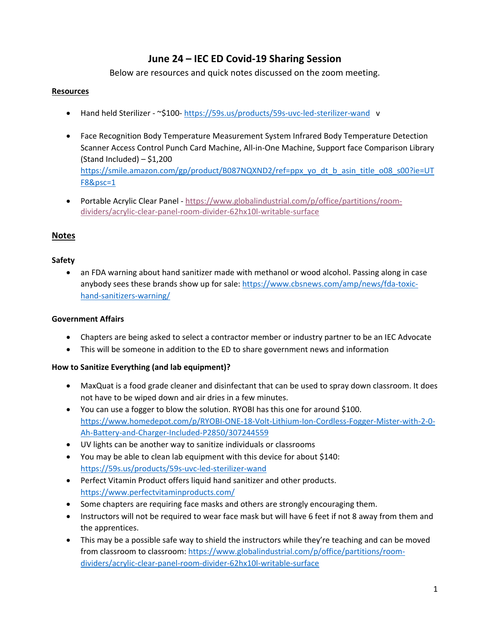# **June 24 – IEC ED Covid‐19 Sharing Session**

Below are resources and quick notes discussed on the zoom meeting.

#### **Resources**

- Hand held Sterilizer ‐ ~\$100‐ https://59s.us/products/59s‐uvc‐led‐sterilizer‐wand v
- Face Recognition Body Temperature Measurement System Infrared Body Temperature Detection Scanner Access Control Punch Card Machine, All‐in‐One Machine, Support face Comparison Library  $(Standard Included) - $1,200$ https://smile.amazon.com/gp/product/B087NQXND2/ref=ppx\_yo\_dt\_b\_asin\_title\_o08\_s00?ie=UT F8&psc=1
- Portable Acrylic Clear Panel ‐ https://www.globalindustrial.com/p/office/partitions/room‐ dividers/acrylic‐clear‐panel‐room‐divider‐62hx10l‐writable‐surface

# **Notes**

## **Safety**

 an FDA warning about hand sanitizer made with methanol or wood alcohol. Passing along in case anybody sees these brands show up for sale: https://www.cbsnews.com/amp/news/fda-toxichand‐sanitizers‐warning/

#### **Government Affairs**

- Chapters are being asked to select a contractor member or industry partner to be an IEC Advocate
- This will be someone in addition to the ED to share government news and information

## **How to Sanitize Everything (and lab equipment)?**

- MaxQuat is a food grade cleaner and disinfectant that can be used to spray down classroom. It does not have to be wiped down and air dries in a few minutes.
- You can use a fogger to blow the solution. RYOBI has this one for around \$100. https://www.homedepot.com/p/RYOBI‐ONE‐18‐Volt‐Lithium‐Ion‐Cordless‐Fogger‐Mister‐with‐2‐0‐ Ah‐Battery‐and‐Charger‐Included‐P2850/307244559
- UV lights can be another way to sanitize individuals or classrooms
- You may be able to clean lab equipment with this device for about \$140: https://59s.us/products/59s‐uvc‐led‐sterilizer‐wand
- Perfect Vitamin Product offers liquid hand sanitizer and other products. https://www.perfectvitaminproducts.com/
- Some chapters are requiring face masks and others are strongly encouraging them.
- Instructors will not be required to wear face mask but will have 6 feet if not 8 away from them and the apprentices.
- This may be a possible safe way to shield the instructors while they're teaching and can be moved from classroom to classroom: https://www.globalindustrial.com/p/office/partitions/roomdividers/acrylic‐clear‐panel‐room‐divider‐62hx10l‐writable‐surface